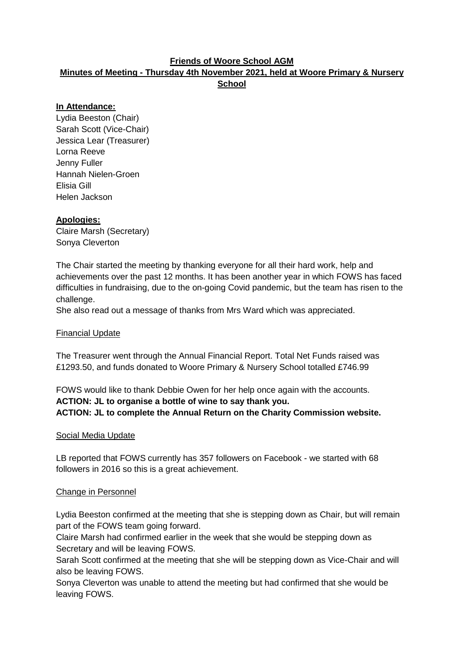## **Friends of Woore School AGM**

# **Minutes of Meeting - Thursday 4th November 2021, held at Woore Primary & Nursery School**

## **In Attendance:**

Lydia Beeston (Chair) Sarah Scott (Vice-Chair) Jessica Lear (Treasurer) Lorna Reeve Jenny Fuller Hannah Nielen-Groen Elisia Gill Helen Jackson

#### **Apologies:**

Claire Marsh (Secretary) Sonya Cleverton

The Chair started the meeting by thanking everyone for all their hard work, help and achievements over the past 12 months. It has been another year in which FOWS has faced difficulties in fundraising, due to the on-going Covid pandemic, but the team has risen to the challenge.

She also read out a message of thanks from Mrs Ward which was appreciated.

#### Financial Update

The Treasurer went through the Annual Financial Report. Total Net Funds raised was £1293.50, and funds donated to Woore Primary & Nursery School totalled £746.99

FOWS would like to thank Debbie Owen for her help once again with the accounts. **ACTION: JL to organise a bottle of wine to say thank you. ACTION: JL to complete the Annual Return on the Charity Commission website.**

#### Social Media Update

LB reported that FOWS currently has 357 followers on Facebook - we started with 68 followers in 2016 so this is a great achievement.

#### Change in Personnel

Lydia Beeston confirmed at the meeting that she is stepping down as Chair, but will remain part of the FOWS team going forward.

Claire Marsh had confirmed earlier in the week that she would be stepping down as Secretary and will be leaving FOWS.

Sarah Scott confirmed at the meeting that she will be stepping down as Vice-Chair and will also be leaving FOWS.

Sonya Cleverton was unable to attend the meeting but had confirmed that she would be leaving FOWS.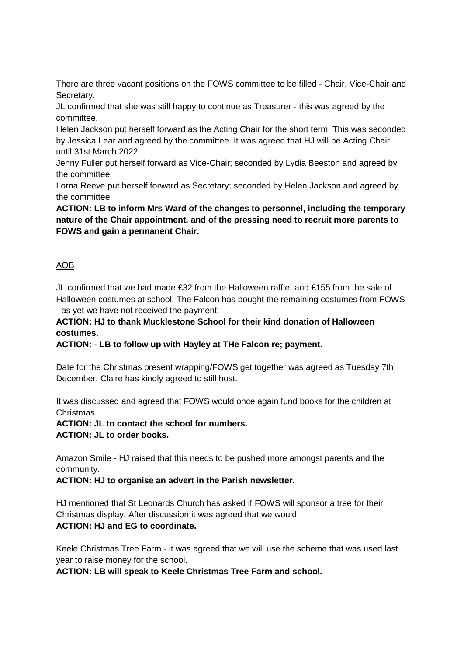There are three vacant positions on the FOWS committee to be filled - Chair, Vice-Chair and Secretary.

JL confirmed that she was still happy to continue as Treasurer - this was agreed by the committee.

Helen Jackson put herself forward as the Acting Chair for the short term. This was seconded by Jessica Lear and agreed by the committee. It was agreed that HJ will be Acting Chair until 31st March 2022.

Jenny Fuller put herself forward as Vice-Chair; seconded by Lydia Beeston and agreed by the committee.

Lorna Reeve put herself forward as Secretary; seconded by Helen Jackson and agreed by the committee.

**ACTION: LB to inform Mrs Ward of the changes to personnel, including the temporary nature of the Chair appointment, and of the pressing need to recruit more parents to FOWS and gain a permanent Chair.**

## AOB

JL confirmed that we had made £32 from the Halloween raffle, and £155 from the sale of Halloween costumes at school. The Falcon has bought the remaining costumes from FOWS - as yet we have not received the payment.

**ACTION: HJ to thank Mucklestone School for their kind donation of Halloween costumes.**

**ACTION: - LB to follow up with Hayley at THe Falcon re; payment.**

Date for the Christmas present wrapping/FOWS get together was agreed as Tuesday 7th December. Claire has kindly agreed to still host.

It was discussed and agreed that FOWS would once again fund books for the children at Christmas.

#### **ACTION: JL to contact the school for numbers. ACTION: JL to order books.**

Amazon Smile - HJ raised that this needs to be pushed more amongst parents and the community.

**ACTION: HJ to organise an advert in the Parish newsletter.**

HJ mentioned that St Leonards Church has asked if FOWS will sponsor a tree for their Christmas display. After discussion it was agreed that we would. **ACTION: HJ and EG to coordinate.**

Keele Christmas Tree Farm - it was agreed that we will use the scheme that was used last year to raise money for the school.

**ACTION: LB will speak to Keele Christmas Tree Farm and school.**